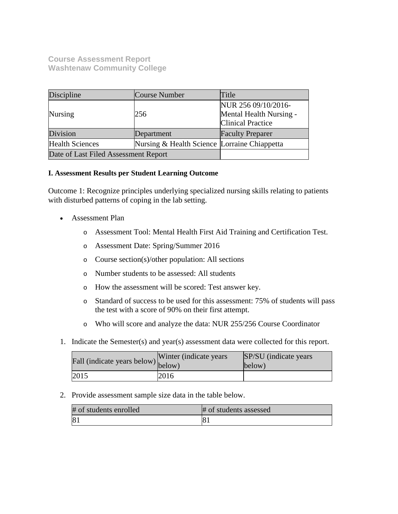**Course Assessment Report Washtenaw Community College**

| Discipline                           | Course Number                                | Title                                                                      |
|--------------------------------------|----------------------------------------------|----------------------------------------------------------------------------|
| <b>Nursing</b>                       | 256                                          | NUR 256 09/10/2016-<br>Mental Health Nursing -<br><b>Clinical Practice</b> |
| Division                             | Department                                   | <b>Faculty Preparer</b>                                                    |
| <b>Health Sciences</b>               | Nursing & Health Science Lorraine Chiappetta |                                                                            |
| Date of Last Filed Assessment Report |                                              |                                                                            |

# **I. Assessment Results per Student Learning Outcome**

Outcome 1: Recognize principles underlying specialized nursing skills relating to patients with disturbed patterns of coping in the lab setting.

- Assessment Plan
	- o Assessment Tool: Mental Health First Aid Training and Certification Test.
	- o Assessment Date: Spring/Summer 2016
	- o Course section(s)/other population: All sections
	- o Number students to be assessed: All students
	- o How the assessment will be scored: Test answer key.
	- o Standard of success to be used for this assessment: 75% of students will pass the test with a score of 90% on their first attempt.
	- o Who will score and analyze the data: NUR 255/256 Course Coordinator
- 1. Indicate the Semester(s) and year(s) assessment data were collected for this report.

| Fall (indicate years below) below) | Winter (indicate years) | SP/SU (indicate years)<br>below) |
|------------------------------------|-------------------------|----------------------------------|
| 2015                               | 2016                    |                                  |

2. Provide assessment sample size data in the table below.

| # of students enrolled | # of students assessed |
|------------------------|------------------------|
| 8.                     | ി0 ⊾                   |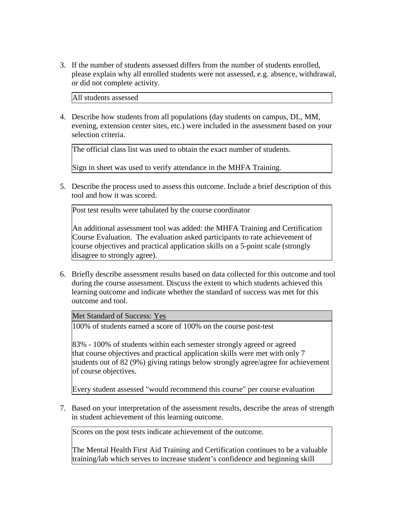3. If the number of students assessed differs from the number of students enrolled, please explain why all enrolled students were not assessed, e.g. absence, withdrawal, or did not complete activity.

All students assessed

4. Describe how students from all populations (day students on campus, DL, MM, evening, extension center sites, etc.) were included in the assessment based on your selection criteria.

The official class list was used to obtain the exact number of students.

Sign in sheet was used to verify attendance in the MHFA Training.

5. Describe the process used to assess this outcome. Include a brief description of this tool and how it was scored.

Post test results were tabulated by the course coordinator

An additional assessment tool was added: the MHFA Training and Certification Course Evaluation. The evaluation asked participants to rate achievement of course objectives and practical application skills on a 5-point scale (strongly disagree to strongly agree).

6. Briefly describe assessment results based on data collected for this outcome and tool during the course assessment. Discuss the extent to which students achieved this learning outcome and indicate whether the standard of success was met for this outcome and tool.

Met Standard of Success: Yes

100% of students earned a score of 100% on the course post-test

83% - 100% of students within each semester strongly agreed or agreed that course objectives and practical application skills were met with only 7 students out of 82 (9%) giving ratings below strongly agree/agree for achievement of course objectives.

Every student assessed "would recommend this course" per course evaluation

7. Based on your interpretation of the assessment results, describe the areas of strength in student achievement of this learning outcome.

Scores on the post tests indicate achievement of the outcome.

The Mental Health First Aid Training and Certification continues to be a valuable training/lab which serves to increase student's confidence and beginning skill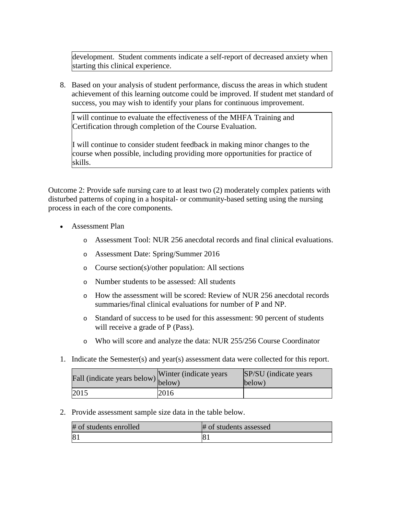development. Student comments indicate a self-report of decreased anxiety when starting this clinical experience.

8. Based on your analysis of student performance, discuss the areas in which student achievement of this learning outcome could be improved. If student met standard of success, you may wish to identify your plans for continuous improvement.

I will continue to evaluate the effectiveness of the MHFA Training and Certification through completion of the Course Evaluation.

I will continue to consider student feedback in making minor changes to the course when possible, including providing more opportunities for practice of skills.

Outcome 2: Provide safe nursing care to at least two (2) moderately complex patients with disturbed patterns of coping in a hospital- or community-based setting using the nursing process in each of the core components.

- Assessment Plan
	- o Assessment Tool: NUR 256 anecdotal records and final clinical evaluations.
	- o Assessment Date: Spring/Summer 2016
	- o Course section(s)/other population: All sections
	- o Number students to be assessed: All students
	- o How the assessment will be scored: Review of NUR 256 anecdotal records summaries/final clinical evaluations for number of P and NP.
	- o Standard of success to be used for this assessment: 90 percent of students will receive a grade of P (Pass).
	- o Who will score and analyze the data: NUR 255/256 Course Coordinator
- 1. Indicate the Semester(s) and year(s) assessment data were collected for this report.

| r'all (indicate years below) below) | Winter (indicate years) | SP/SU (indicate years)<br>below) |
|-------------------------------------|-------------------------|----------------------------------|
| 2015                                | 2016                    |                                  |

2. Provide assessment sample size data in the table below.

| # of students enrolled | # of students assessed |
|------------------------|------------------------|
| 8 <sup>2</sup>         |                        |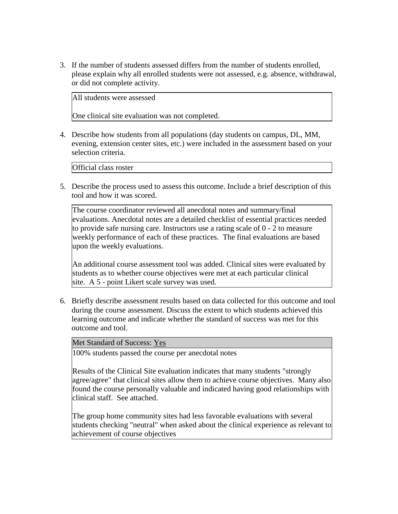3. If the number of students assessed differs from the number of students enrolled, please explain why all enrolled students were not assessed, e.g. absence, withdrawal, or did not complete activity.

All students were assessed

One clinical site evaluation was not completed.

4. Describe how students from all populations (day students on campus, DL, MM, evening, extension center sites, etc.) were included in the assessment based on your selection criteria.

Official class roster

5. Describe the process used to assess this outcome. Include a brief description of this tool and how it was scored.

The course coordinator reviewed all anecdotal notes and summary/final evaluations. Anecdotal notes are a detailed checklist of essential practices needed to provide safe nursing care. Instructors use a rating scale of 0 - 2 to measure weekly performance of each of these practices. The final evaluations are based upon the weekly evaluations.

An additional course assessment tool was added. Clinical sites were evaluated by students as to whether course objectives were met at each particular clinical site. A 5 - point Likert scale survey was used.

6. Briefly describe assessment results based on data collected for this outcome and tool during the course assessment. Discuss the extent to which students achieved this learning outcome and indicate whether the standard of success was met for this outcome and tool.

Met Standard of Success: Yes

100% students passed the course per anecdotal notes

Results of the Clinical Site evaluation indicates that many students "strongly agree/agree" that clinical sites allow them to achieve course objectives. Many also found the course personally valuable and indicated having good relationships with clinical staff. See attached.

The group home community sites had less favorable evaluations with several students checking "neutral" when asked about the clinical experience as relevant to achievement of course objectives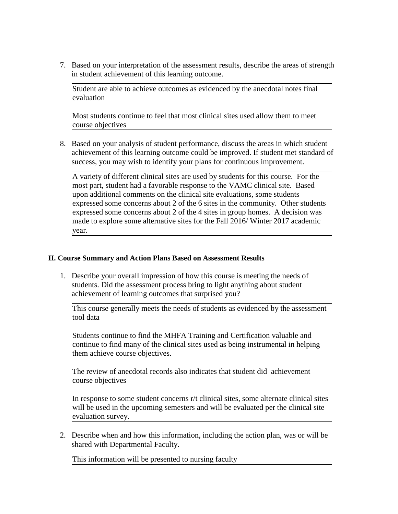7. Based on your interpretation of the assessment results, describe the areas of strength in student achievement of this learning outcome.

Student are able to achieve outcomes as evidenced by the anecdotal notes final evaluation

Most students continue to feel that most clinical sites used allow them to meet course objectives

8. Based on your analysis of student performance, discuss the areas in which student achievement of this learning outcome could be improved. If student met standard of success, you may wish to identify your plans for continuous improvement.

A variety of different clinical sites are used by students for this course. For the most part, student had a favorable response to the VAMC clinical site. Based upon additional comments on the clinical site evaluations, some students expressed some concerns about 2 of the 6 sites in the community. Other students expressed some concerns about 2 of the 4 sites in group homes. A decision was made to explore some alternative sites for the Fall 2016/ Winter 2017 academic year.

# **II. Course Summary and Action Plans Based on Assessment Results**

1. Describe your overall impression of how this course is meeting the needs of students. Did the assessment process bring to light anything about student achievement of learning outcomes that surprised you?

This course generally meets the needs of students as evidenced by the assessment tool data

Students continue to find the MHFA Training and Certification valuable and continue to find many of the clinical sites used as being instrumental in helping them achieve course objectives.

The review of anecdotal records also indicates that student did achievement course objectives

In response to some student concerns r/t clinical sites, some alternate clinical sites will be used in the upcoming semesters and will be evaluated per the clinical site evaluation survey.

2. Describe when and how this information, including the action plan, was or will be shared with Departmental Faculty.

This information will be presented to nursing faculty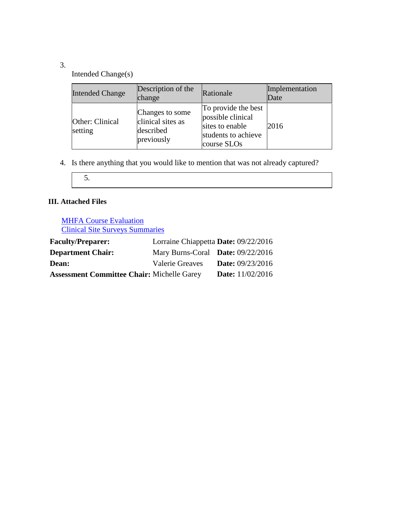# 3.

Intended Change(s)

| <b>Intended Change</b>     | Description of the<br>change                                    | Rationale                                                                                         | Implementation<br>Date |
|----------------------------|-----------------------------------------------------------------|---------------------------------------------------------------------------------------------------|------------------------|
| Other: Clinical<br>setting | Changes to some<br>clinical sites as<br>described<br>previously | To provide the best<br>possible clinical<br>sites to enable<br>students to achieve<br>course SLOs | 2016                   |

4. Is there anything that you would like to mention that was not already captured?

# **III. Attached Files**

**MHFA Course Evaluation** Clinical Site Surveys Summaries

| <b>Faculty/Preparer:</b>                          | Lorraine Chiappetta Date: 09/22/2016 |                           |
|---------------------------------------------------|--------------------------------------|---------------------------|
| <b>Department Chair:</b>                          | Mary Burns-Coral Date: 09/22/2016    |                           |
| <b>Dean:</b>                                      | <b>Valerie Greaves</b>               | <b>Date:</b> 09/23/2016   |
| <b>Assessment Committee Chair: Michelle Garey</b> |                                      | <b>Date:</b> $11/02/2016$ |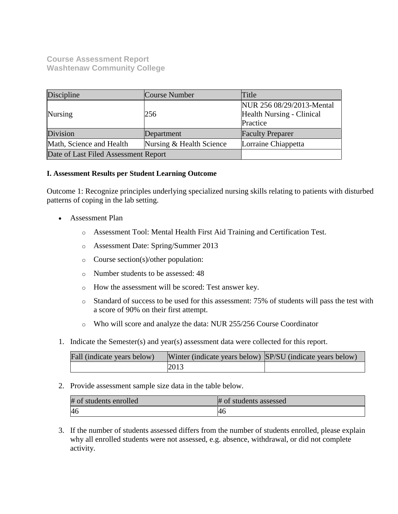**Course Assessment Report Washtenaw Community College**

| Discipline                           | <b>Course Number</b>     | Title                                                              |
|--------------------------------------|--------------------------|--------------------------------------------------------------------|
| Nursing                              | 256                      | NUR 256 08/29/2013-Mental<br>Health Nursing - Clinical<br>Practice |
| Division                             | Department               | <b>Faculty Preparer</b>                                            |
| Math, Science and Health             | Nursing & Health Science | Lorraine Chiappetta                                                |
| Date of Last Filed Assessment Report |                          |                                                                    |

# **I. Assessment Results per Student Learning Outcome**

Outcome 1: Recognize principles underlying specialized nursing skills relating to patients with disturbed patterns of coping in the lab setting.

- Assessment Plan
	- o Assessment Tool: Mental Health First Aid Training and Certification Test.
	- o Assessment Date: Spring/Summer 2013
	- o Course section(s)/other population:
	- o Number students to be assessed: 48
	- o How the assessment will be scored: Test answer key.
	- o Standard of success to be used for this assessment: 75% of students will pass the test with a score of 90% on their first attempt.
	- o Who will score and analyze the data: NUR 255/256 Course Coordinator
- 1. Indicate the Semester(s) and year(s) assessment data were collected for this report.

| Fall (indicate years below) | Winter (indicate years below) SP/SU (indicate years below) |  |
|-----------------------------|------------------------------------------------------------|--|
|                             | 2013                                                       |  |

2. Provide assessment sample size data in the table below.

| # of students enrolled | # of students assessed |
|------------------------|------------------------|
|                        | 40                     |

3. If the number of students assessed differs from the number of students enrolled, please explain why all enrolled students were not assessed, e.g. absence, withdrawal, or did not complete activity.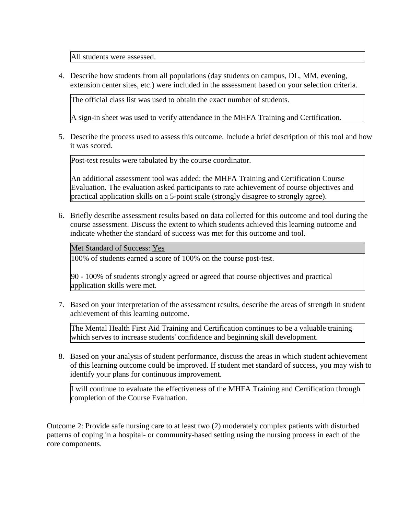All students were assessed.

4. Describe how students from all populations (day students on campus, DL, MM, evening, extension center sites, etc.) were included in the assessment based on your selection criteria.

The official class list was used to obtain the exact number of students.

A sign-in sheet was used to verify attendance in the MHFA Training and Certification.

5. Describe the process used to assess this outcome. Include a brief description of this tool and how it was scored.

Post-test results were tabulated by the course coordinator.

An additional assessment tool was added: the MHFA Training and Certification Course Evaluation. The evaluation asked participants to rate achievement of course objectives and practical application skills on a 5-point scale (strongly disagree to strongly agree).

6. Briefly describe assessment results based on data collected for this outcome and tool during the course assessment. Discuss the extent to which students achieved this learning outcome and indicate whether the standard of success was met for this outcome and tool.

Met Standard of Success: Yes

100% of students earned a score of 100% on the course post-test.

90 - 100% of students strongly agreed or agreed that course objectives and practical application skills were met.

7. Based on your interpretation of the assessment results, describe the areas of strength in student achievement of this learning outcome.

The Mental Health First Aid Training and Certification continues to be a valuable training which serves to increase students' confidence and beginning skill development.

8. Based on your analysis of student performance, discuss the areas in which student achievement of this learning outcome could be improved. If student met standard of success, you may wish to identify your plans for continuous improvement.

I will continue to evaluate the effectiveness of the MHFA Training and Certification through completion of the Course Evaluation.

Outcome 2: Provide safe nursing care to at least two (2) moderately complex patients with disturbed patterns of coping in a hospital- or community-based setting using the nursing process in each of the core components.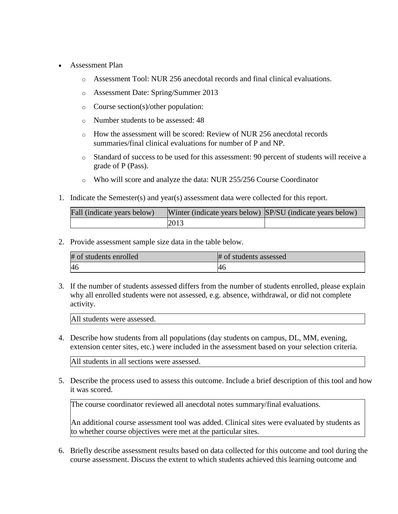- Assessment Plan
	- o Assessment Tool: NUR 256 anecdotal records and final clinical evaluations.
	- o Assessment Date: Spring/Summer 2013
	- o Course section(s)/other population:
	- o Number students to be assessed: 48
	- o How the assessment will be scored: Review of NUR 256 anecdotal records summaries/final clinical evaluations for number of P and NP.
	- o Standard of success to be used for this assessment: 90 percent of students will receive a grade of P (Pass).
	- o Who will score and analyze the data: NUR 255/256 Course Coordinator
- 1. Indicate the Semester(s) and year(s) assessment data were collected for this report.

| Fall (indicate years below) | Winter (indicate years below) SP/SU (indicate years below) |  |
|-----------------------------|------------------------------------------------------------|--|
|                             | 2013                                                       |  |

2. Provide assessment sample size data in the table below.

| # of students enrolled | # of students assessed |  |  |
|------------------------|------------------------|--|--|
| 46                     | 40                     |  |  |

3. If the number of students assessed differs from the number of students enrolled, please explain why all enrolled students were not assessed, e.g. absence, withdrawal, or did not complete activity.

All students were assessed.

4. Describe how students from all populations (day students on campus, DL, MM, evening, extension center sites, etc.) were included in the assessment based on your selection criteria.

All students in all sections were assessed.

5. Describe the process used to assess this outcome. Include a brief description of this tool and how it was scored.

The course coordinator reviewed all anecdotal notes summary/final evaluations.

An additional course assessment tool was added. Clinical sites were evaluated by students as to whether course objectives were met at the particular sites.

6. Briefly describe assessment results based on data collected for this outcome and tool during the course assessment. Discuss the extent to which students achieved this learning outcome and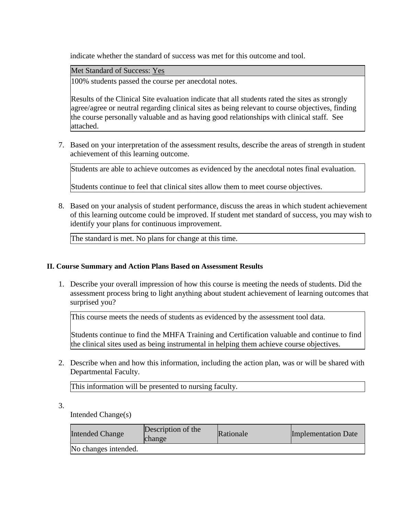indicate whether the standard of success was met for this outcome and tool.

Met Standard of Success: Yes

100% students passed the course per anecdotal notes.

Results of the Clinical Site evaluation indicate that all students rated the sites as strongly agree/agree or neutral regarding clinical sites as being relevant to course objectives, finding the course personally valuable and as having good relationships with clinical staff. See attached.

7. Based on your interpretation of the assessment results, describe the areas of strength in student achievement of this learning outcome.

Students are able to achieve outcomes as evidenced by the anecdotal notes final evaluation.

Students continue to feel that clinical sites allow them to meet course objectives.

8. Based on your analysis of student performance, discuss the areas in which student achievement of this learning outcome could be improved. If student met standard of success, you may wish to identify your plans for continuous improvement.

The standard is met. No plans for change at this time.

# **II. Course Summary and Action Plans Based on Assessment Results**

1. Describe your overall impression of how this course is meeting the needs of students. Did the assessment process bring to light anything about student achievement of learning outcomes that surprised you?

This course meets the needs of students as evidenced by the assessment tool data.

Students continue to find the MHFA Training and Certification valuable and continue to find the clinical sites used as being instrumental in helping them achieve course objectives.

2. Describe when and how this information, including the action plan, was or will be shared with Departmental Faculty.

This information will be presented to nursing faculty.

3.

Intended Change(s)

| <b>Intended Change</b> | Description of the<br>change | Rationale | Implementation Date |
|------------------------|------------------------------|-----------|---------------------|
| No changes intended.   |                              |           |                     |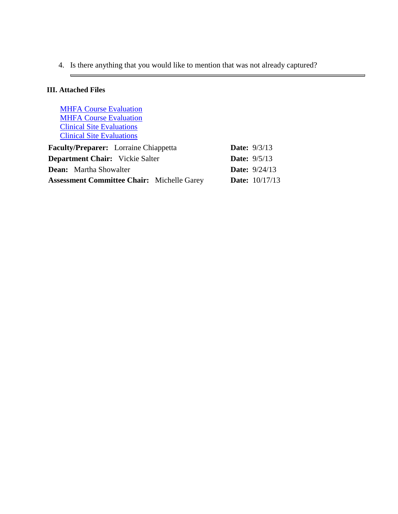4. Is there anything that you would like to mention that was not already captured?

# **III. Attached Files**

 $\blacksquare$ 

**[MHFA Course Evaluation](documents/Mental%20Health%20First%20Aid%2012%20hr%20Course%20Eval%20W%202013%20A.docx) [MHFA Course Evaluation](documents/W13H%2012h%20Course%20Evaluation%20March%202013.doc)** [Clinical Site Evaluations](documents/W_2013_H_Clinical_site_Evaluation.xlsx) [Clinical Site Evaluations](documents/Copy%20of%20Clinical_site_Evaluation_NUR%20256_W13(A).xlsx)

| <b>Faculty/Preparer:</b> Lorraine Chiappetta      |  | <b>Date:</b> $9/3/13$   |
|---------------------------------------------------|--|-------------------------|
| <b>Department Chair:</b> Vickie Salter            |  | <b>Date:</b> $9/5/13$   |
| <b>Dean:</b> Martha Showalter                     |  | <b>Date:</b> $9/24/13$  |
| <b>Assessment Committee Chair:</b> Michelle Garey |  | <b>Date:</b> $10/17/13$ |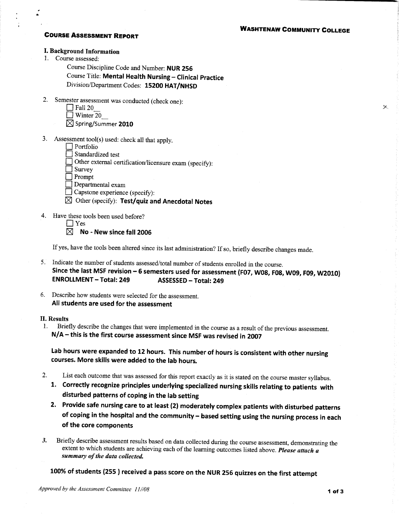# **WASHTENAW COMMUNITY COLLEGE**

 $\times$ 

## **COURSE ASSESSMENT REPORT**

### I. Background Information

1. Course assessed:

Course Discipline Code and Number: NUR 256

Course Title: Mental Health Nursing - Clinical Practice Division/Department Codes: 15200 HAT/NHSD

2. Semester assessment was conducted (check one):

| l Fall 20 |  |
|-----------|--|
| Winter 20 |  |

 $\boxtimes$  Spring/Summer 2010

- 3. Assessment tool(s) used: check all that apply.
	- $\Box$  Portfolio
	- Standardized test

Other external certification/licensure exam (specify):

 $\vert$  Survey

 $\Box$  Prompt

- $\Box$  Departmental exam
- $\Box$  Capstone experience (specify):
- $\boxtimes$  Other (specify): Test/quiz and Anecdotal Notes
- 4. Have these tools been used before?
	- $\Box$  Yes

 $\boxtimes$  No - New since fall 2006

If yes, have the tools been altered since its last administration? If so, briefly describe changes made.

- 5. Indicate the number of students assessed/total number of students enrolled in the course. Since the last MSF revision - 6 semesters used for assessment (F07, W08, F08, W09, F09, W2010) **ENROLLMENT - Total: 249 ASSESSED - Total: 249**
- 6. Describe how students were selected for the assessment. All students are used for the assessment

## **II. Results**

Briefly describe the changes that were implemented in the course as a result of the previous assessment.  $1.$ N/A - this is the first course assessment since MSF was revised in 2007

Lab hours were expanded to 12 hours. This number of hours is consistent with other nursing courses. More skills were added to the lab hours.

- List each outcome that was assessed for this report exactly as it is stated on the course master syllabus. 2.
	- 1. Correctly recognize principles underlying specialized nursing skills relating to patients with disturbed patterns of coping in the lab setting
	- 2. Provide safe nursing care to at least (2) moderately complex patients with disturbed patterns of coping in the hospital and the community - based setting using the nursing process in each of the core components
- Briefly describe assessment results based on data collected during the course assessment, demonstrating the  $3.$ extent to which students are achieving each of the learning outcomes listed above. Please attach a summary of the data collected.

100% of students (255) received a pass score on the NUR 256 quizzes on the first attempt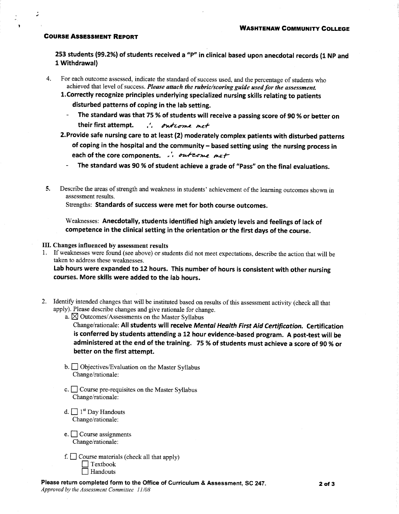## **COURSE ASSESSMENT REPORT**

253 students (99.2%) of students received a "P" in clinical based upon anecdotal records (1 NP and 1 Withdrawal)

- For each outcome assessed, indicate the standard of success used, and the percentage of students who  $4.$ achieved that level of success. Please attach the rubric/scoring guide used for the assessment.
	- 1. Correctly recognize principles underlying specialized nursing skills relating to patients disturbed patterns of coping in the lab setting.
		- The standard was that 75 % of students will receive a passing score of 90 % or better on their first attempt. .. ontrome met
	- 2. Provide safe nursing care to at least (2) moderately complex patients with disturbed patterns of coping in the hospital and the community - based setting using the nursing process in each of the core components. .. outcome met
		- The standard was 90 % of student achieve a grade of "Pass" on the final evaluations.
- Describe the areas of strength and weakness in students' achievement of the learning outcomes shown in 5. assessment results.

Strengths: Standards of success were met for both course outcomes.

Weaknesses: Anecdotally, students identified high anxiety levels and feelings of lack of competence in the clinical setting in the orientation or the first days of the course.

## III. Changes influenced by assessment results

1. If weaknesses were found (see above) or students did not meet expectations, describe the action that will be taken to address these weaknesses.

Lab hours were expanded to 12 hours. This number of hours is consistent with other nursing courses. More skills were added to the lab hours.

2. Identify intended changes that will be instituted based on results of this assessment activity (check all that apply). Please describe changes and give rationale for change.

a.  $\boxtimes$  Outcomes/Assessments on the Master Syllabus

Change/rationale: All students will receive Mental Health First Aid Certification. Certification is conferred by students attending a 12 hour evidence-based program. A post-test will be administered at the end of the training. 75 % of students must achieve a score of 90 % or better on the first attempt.

- $\mathbf{b}$ .  $\Box$  Objectives/Evaluation on the Master Syllabus Change/rationale:
- c.  $\Box$  Course pre-requisites on the Master Syllabus Change/rationale:
- d.  $\Box$  1<sup>st</sup> Day Handouts Change/rationale:
- e.  $\Box$  Course assignments Change/rationale:
- f.  $\Box$  Course materials (check all that apply)  $\Box$  Textbook  $\Box$  Handouts

Please return completed form to the Office of Curriculum & Assessment, SC 247.

Approved by the Assessment Committee 11/08